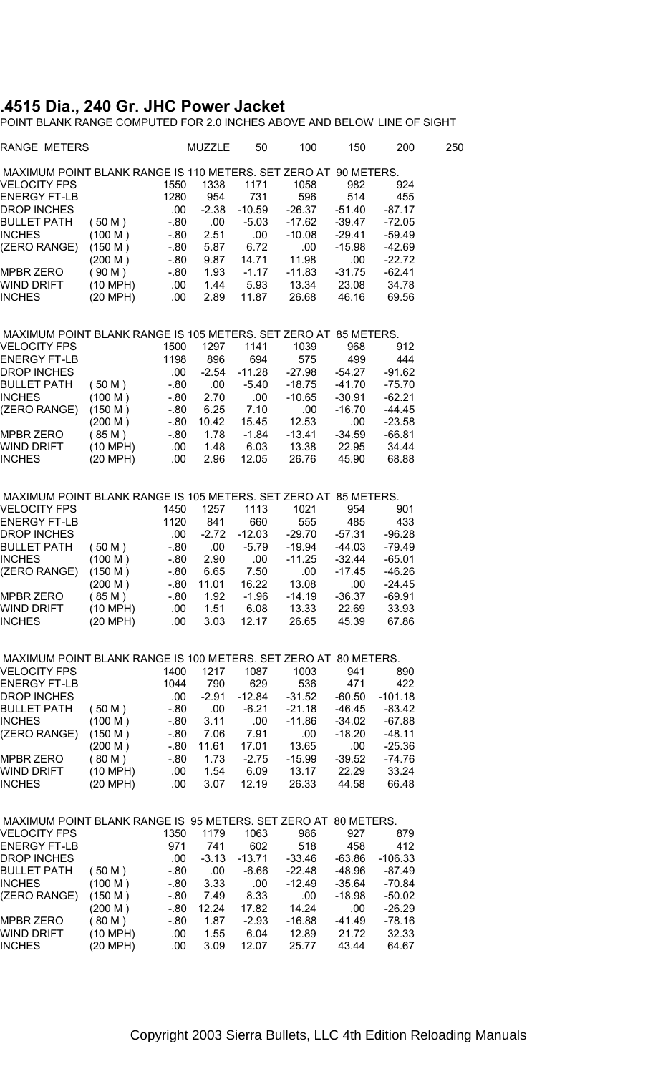## **.4515 Dia., 240 Gr. JHC Power Jacket**

POINT BLANK RANGE COMPUTED FOR 2.0 INCHES ABOVE AND BELOW LINE OF SIGHT

| RANGE METERS                                                                    |          |       | MUZZLE  | 50       | 100      | 150      | 200       | 250 |
|---------------------------------------------------------------------------------|----------|-------|---------|----------|----------|----------|-----------|-----|
| MAXIMUM POINT BLANK RANGE IS 110 METERS. SET ZERO AT 90 METERS.                 |          |       |         |          |          |          |           |     |
| VELOCITY FPS                                                                    |          | 1550  | 1338    | 1171     | 1058     | 982      | 924       |     |
| <b>ENERGY FT-LB</b>                                                             |          | 1280  | 954     | 731      | 596      | 514      | 455       |     |
| <b>DROP INCHES</b>                                                              |          | .00   | $-2.38$ | $-10.59$ | $-26.37$ | $-51.40$ | $-87.17$  |     |
| <b>BULLET PATH</b>                                                              | (50 M)   |       |         |          | $-17.62$ | $-39.47$ | $-72.05$  |     |
|                                                                                 |          | - 80  | .00     | $-5.03$  |          |          |           |     |
| <b>INCHES</b>                                                                   | (100 M)  | - 80  | 2.51    | .00      | $-10.08$ | $-29.41$ | $-59.49$  |     |
| (ZERO RANGE)                                                                    | (150 M)  | -.80  | 5.87    | 6.72     | .00      | $-15.98$ | $-42.69$  |     |
|                                                                                 | (200 M)  | - 80  | 9.87    | 14.71    | 11.98    | .00      | -22.72    |     |
| <b>MPBR ZERO</b>                                                                | (90 M)   | - 80  | 1.93    | $-1.17$  | $-11.83$ | $-31.75$ | $-62.41$  |     |
| <b>WIND DRIFT</b>                                                               | (10 MPH) | .00   | 1.44    | 5.93     | 13.34    | 23.08    | 34.78     |     |
| <b>INCHES</b>                                                                   | (20 MPH) | .00   | 2.89    | 11.87    | 26.68    | 46.16    | 69.56     |     |
| MAXIMUM POINT BLANK RANGE IS 105 METERS. SET ZERO AT 85 METERS.                 |          |       |         |          |          |          |           |     |
| VELOCITY FPS                                                                    |          | 1500  | 1297    | 1141     | 1039     | 968      | 912       |     |
| <b>ENERGY FT-LB</b>                                                             |          | 1198  | 896     | 694      | 575      | 499      | 444       |     |
| <b>DROP INCHES</b>                                                              |          | .00   | $-2.54$ | $-11.28$ | $-27.98$ | -54.27   | $-91.62$  |     |
|                                                                                 |          |       |         |          |          |          |           |     |
| BULLET PATH                                                                     | (50 M)   | $-80$ | .00.    | $-5.40$  | $-18.75$ | $-41.70$ | $-75.70$  |     |
| <b>INCHES</b>                                                                   | (100 M)  | $-80$ | 2.70    | .00      | $-10.65$ | $-30.91$ | $-62.21$  |     |
| (ZERO RANGE)                                                                    | (150 M)  | - 80  | 6.25    | 7.10     | .00      | $-16.70$ | $-44.45$  |     |
|                                                                                 | (200 M)  | - 80  | 10.42   | 15.45    | 12.53    | .00      | $-23.58$  |     |
| MPBR ZERO                                                                       | (85M)    | -.80  | 1.78    | $-1.84$  | $-13.41$ | $-34.59$ | $-66.81$  |     |
| WIND DRIFT                                                                      | (10 MPH) | .00   | 1.48    | 6.03     | 13.38    | 22.95    | 34.44     |     |
| <b>INCHES</b>                                                                   | (20 MPH) | .00   | 2.96    | 12.05    | 26.76    | 45.90    | 68.88     |     |
| MAXIMUM POINT BLANK RANGE IS 105 METERS. SET ZERO AT 85 METERS.                 |          |       |         |          |          |          |           |     |
| <b>VELOCITY FPS</b>                                                             |          |       |         |          |          |          |           |     |
|                                                                                 |          | 1450  | 1257    | 1113     | 1021     | 954      | 901       |     |
| <b>ENERGY FT-LB</b>                                                             |          | 1120  | 841     | 660      | 555      | 485      | 433       |     |
| <b>DROP INCHES</b>                                                              |          | .00   | $-2.72$ | $-12.03$ | $-29.70$ | $-57.31$ | $-96.28$  |     |
| <b>BULLET PATH</b>                                                              | (50 M)   | $-80$ | .00     | $-5.79$  | $-19.94$ | $-44.03$ | $-79.49$  |     |
| <b>INCHES</b>                                                                   | (100 M)  | - 80  | 2.90    | .00      | $-11.25$ | $-32.44$ | $-65.01$  |     |
| (ZERO RANGE)                                                                    | (150 M)  | - 80  | 6.65    | 7.50     | .00      | $-17.45$ | $-46.26$  |     |
|                                                                                 | (200 M)  | $-80$ | 11.01   | 16.22    | 13.08    | .00      | $-24.45$  |     |
| MPBR ZERO                                                                       | (85M)    | -.80  | 1.92    | $-1.96$  | $-14.19$ | $-36.37$ | $-69.91$  |     |
| WIND DRIFT                                                                      | (10 MPH) | .00   | 1.51    | 6.08     | 13.33    | 22.69    | 33.93     |     |
| <b>INCHES</b>                                                                   | (20 MPH) | .00   | 3.03    | 12.17    | 26.65    | 45.39    | 67.86     |     |
|                                                                                 |          |       |         |          |          |          |           |     |
| MAXIMUM POINT BLANK RANGE IS 100 METERS. SET ZERO AT 80 METERS.<br>VELOCITY FPS |          | 1400  | 1217    | 1087     | 1003     | 941      | 890       |     |
| <b>ENERGY FT-LB</b>                                                             |          | 1044  | 790     | 629      | 536      | 471      | 422       |     |
|                                                                                 |          |       |         | $-12.84$ |          |          | $-101.18$ |     |
| <b>DROP INCHES</b>                                                              |          | .00   | $-2.91$ |          | $-31.52$ | $-60.50$ |           |     |
| <b>BULLET PATH</b>                                                              | (50 M)   | $-80$ | .00     | $-6.21$  | $-21.18$ | $-46.45$ | $-83.42$  |     |
| <b>INCHES</b>                                                                   | (100 M)  | - 80  | 3.11    | .00      | $-11.86$ | $-34.02$ | $-67.88$  |     |
| (ZERO RANGE)                                                                    | (150 M)  | -.80  | 7.06    | 7.91     | .00      | $-18.20$ | $-48.11$  |     |
|                                                                                 | (200 M)  | - 80  | 11.61   | 17.01    | 13.65    | .00      | $-25.36$  |     |
| <b>MPBR ZERO</b>                                                                | (80 M)   | - 80  | 1.73    | $-2.75$  | $-15.99$ | $-39.52$ | -74.76    |     |
| <b>WIND DRIFT</b>                                                               | (10 MPH) | .00   | 1.54    | 6.09     | 13.17    | 22.29    | 33.24     |     |
| <b>INCHES</b>                                                                   | (20 MPH) | .00   | 3.07    | 12.19    | 26.33    | 44.58    | 66.48     |     |
|                                                                                 |          |       |         |          |          |          |           |     |
| MAXIMUM POINT BLANK RANGE IS 95 METERS. SET ZERO AT 80 METERS.                  |          |       |         |          |          |          |           |     |
| <b>VELOCITY FPS</b>                                                             |          | 1350  | 1179    | 1063     | 986      | 927      | 879       |     |
| <b>ENERGY FT-LB</b>                                                             |          | 971   | 741     | 602      | 518      | 458      | 412       |     |
| <b>DROP INCHES</b>                                                              |          | .00   | $-3.13$ | $-13.71$ | $-33.46$ | -63.86   | $-106.33$ |     |
| <b>BULLET PATH</b>                                                              | (50 M)   | $-80$ | .00     | $-6.66$  | $-22.48$ | $-48.96$ | $-87.49$  |     |
| <b>INCHES</b>                                                                   | (100 M)  | - 80  | 3.33    | .00      | $-12.49$ | $-35.64$ | -70.84    |     |
| (ZERO RANGE)                                                                    | (150 M)  | - 80  | 7.49    | 8.33     | .00      | $-18.98$ | $-50.02$  |     |
|                                                                                 |          |       |         |          |          |          |           |     |
|                                                                                 | (200 M)  | - 80  | 12.24   | 17.82    | 14.24    | .00      | $-26.29$  |     |
| MPBR ZERO                                                                       | (80 M)   | - 80  | 1.87    | $-2.93$  | $-16.88$ | $-41.49$ | $-78.16$  |     |
| <b>WIND DRIFT</b>                                                               | (10 MPH) | .00   | 1.55    | 6.04     | 12.89    | 21.72    | 32.33     |     |
| <b>INCHES</b>                                                                   | (20 MPH) | .00   | 3.09    | 12.07    | 25.77    | 43.44    | 64.67     |     |
|                                                                                 |          |       |         |          |          |          |           |     |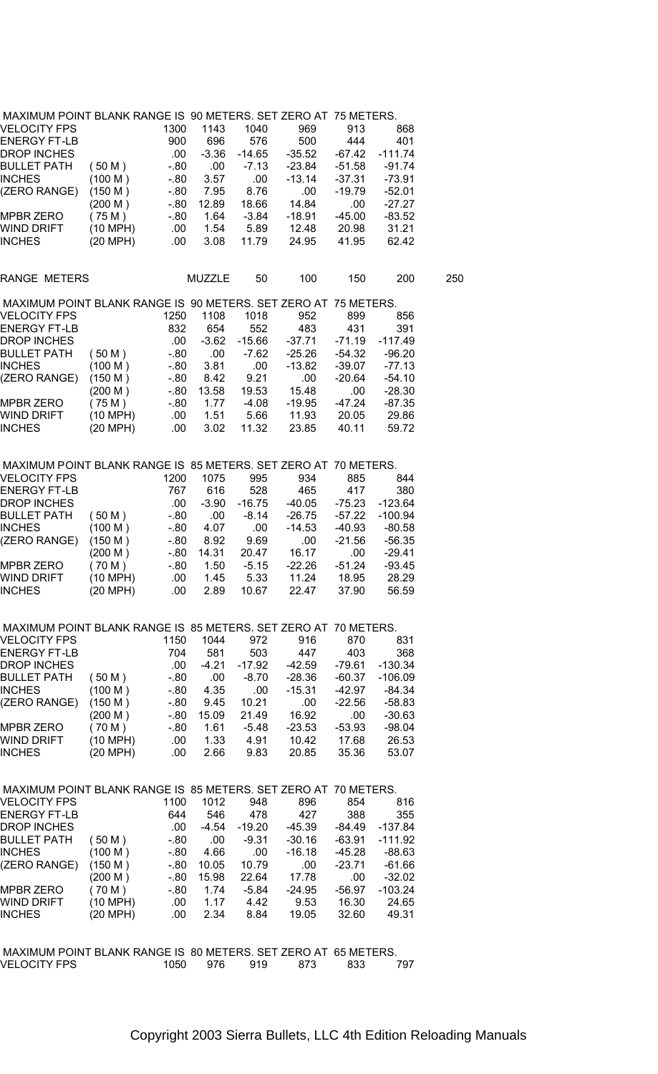| MAXIMUM POINT BLANK RANGE IS 90 METERS. SET ZERO AT 75 METERS. |                    |        |               |          |          |          |           |     |
|----------------------------------------------------------------|--------------------|--------|---------------|----------|----------|----------|-----------|-----|
| VELOCITY FPS                                                   |                    | 1300   | 1143          | 1040     | 969      | 913      | 868       |     |
| ENERGY FT-LB                                                   |                    | 900    | 696           | 576      | 500      | 444      | 401       |     |
| DROP INCHES                                                    |                    | .00    | $-3.36$       | $-14.65$ | $-35.52$ | -67.42   | $-111.74$ |     |
| <b>BULLET PATH</b>                                             | (50 M)             | $-80$  | .00           | $-7.13$  | -23.84   | $-51.58$ | $-91.74$  |     |
| INCHES                                                         | (100 M)            | $-80$  | 3.57          | .00      | $-13.14$ | $-37.31$ | $-73.91$  |     |
|                                                                | (150 M)            | -.80   | 7.95          | 8.76     | .00      | $-19.79$ | $-52.01$  |     |
| (ZERO RANGE)                                                   |                    |        |               |          |          |          |           |     |
|                                                                | (200 M)            | $-.80$ | 12.89         | 18.66    | 14.84    | .00      | $-27.27$  |     |
| MPBR ZERO                                                      | (75 M)             | -.80   | 1.64          | $-3.84$  | $-18.91$ | $-45.00$ | $-83.52$  |     |
| WIND DRIFT                                                     | $(10 \text{ MPH})$ | .00.   | 1.54          | 5.89     | 12.48    | 20.98    | 31.21     |     |
| INCHES                                                         | (20 MPH)           | .00    | 3.08          | 11.79    | 24.95    | 41.95    | 62.42     |     |
| RANGE METERS                                                   |                    |        | <b>MUZZLE</b> | 50       | 100      | 150      | 200       | 250 |
| MAXIMUM POINT BLANK RANGE IS 90 METERS. SET ZERO AT 75 METERS. |                    |        |               |          |          |          |           |     |
|                                                                |                    |        |               |          |          |          |           |     |
| VELOCITY FPS                                                   |                    | 1250   | 1108          | 1018     | 952      | 899      | 856       |     |
| ENERGY FT-LB                                                   |                    | 832    | 654           | 552      | 483      | 431      | 391       |     |
| DROP INCHES                                                    |                    | .00    | $-3.62$       | -15.66   | -37.71   | $-71.19$ | $-117.49$ |     |
| BULLET PATH                                                    | (50 M)             | $-80$  | .00.          | $-7.62$  | $-25.26$ | $-54.32$ | $-96.20$  |     |
| <b>INCHES</b>                                                  | (100 M)            | -.80   | 3.81          | .00      | $-13.82$ | $-39.07$ | $-77.13$  |     |
| (ZERO RANGE)                                                   | (150 M)            | -.80   | 8.42          | 9.21     | .00      | $-20.64$ | $-54.10$  |     |
|                                                                | (200 M)            | -.80   | 13.58         | 19.53    | 15.48    | .00      | $-28.30$  |     |
| MPBR ZERO                                                      | (75M)              | $-80$  | 1.77          | $-4.08$  | $-19.95$ | $-47.24$ | $-87.35$  |     |
|                                                                |                    |        |               |          |          |          |           |     |
| WIND DRIFT                                                     | (10 MPH)           | .00.   | 1.51          | 5.66     | 11.93    | 20.05    | 29.86     |     |
| INCHES                                                         | (20 MPH)           | .00    | 3.02          | 11.32    | 23.85    | 40.11    | 59.72     |     |
|                                                                |                    |        |               |          |          |          |           |     |
| MAXIMUM POINT BLANK RANGE IS 85 METERS. SET ZERO AT 70 METERS. |                    |        |               |          |          |          |           |     |
| VELOCITY FPS                                                   |                    | 1200   | 1075          | 995      | 934      | 885      | 844       |     |
| ENERGY FT-LB                                                   |                    | 767    | 616           | 528      | 465      | 417      | 380       |     |
| DROP INCHES                                                    |                    | .00.   | $-3.90$       | -16.75   | -40.05   | $-75.23$ | $-123.64$ |     |
| BULLET PATH                                                    | (50 M)             | -.80   | .00           | -8.14    | $-26.75$ | $-57.22$ | $-100.94$ |     |
| <b>INCHES</b>                                                  | (100 M)            | -.80   | 4.07          | .00      | $-14.53$ | $-40.93$ | $-80.58$  |     |
| (ZERO RANGE)                                                   | (150 M)            | $-80$  | 8.92          | 9.69     | .00      | $-21.56$ | $-56.35$  |     |
|                                                                |                    |        |               |          |          |          |           |     |
|                                                                | (200 M)            | -.80   | 14.31         | 20.47    | 16.17    | .00      | $-29.41$  |     |
| MPBR ZERO                                                      | (70 M)             | -.80   | 1.50          | $-5.15$  | $-22.26$ | $-51.24$ | $-93.45$  |     |
| WIND DRIFT                                                     | (10 MPH)           | .00.   | 1.45          | 5.33     | 11.24    | 18.95    | 28.29     |     |
| INCHES                                                         | (20 MPH)           | .00.   | 2.89          | 10.67    | 22.47    | 37.90    | 56.59     |     |
|                                                                |                    |        |               |          |          |          |           |     |
| MAXIMUM POINT BLANK RANGE IS 85 METERS. SET ZERO AT 70 METERS. |                    |        |               |          |          |          |           |     |
| VELOCITY FPS                                                   |                    | 1150   | 1044          | 972      | 916      | 870      | 831       |     |
| ENERGY FT-LB                                                   |                    | 704    | 581           | 503      | 447      | 403      | 368       |     |
| <b>DROP INCHES</b>                                             |                    | .00.   | $-4.21$       | $-17.92$ | -42.59   | $-79.61$ | $-130.34$ |     |
| BULLET PATH                                                    | (50 M)             | - 80   | .00           | $-8.70$  | $-28.36$ | $-60.37$ | $-106.09$ |     |
|                                                                |                    |        |               |          |          |          |           |     |
| INCHES                                                         | (100 M)            | -.80   | 4.35          | .00      | $-15.31$ | $-42.97$ | -84.34    |     |
| (ZERO RANGE)                                                   | (150 M)            | -.80   | 9.45          | 10.21    | .00      | $-22.56$ | $-58.83$  |     |
|                                                                | (200 M)            | - 80   | 15.09         | 21.49    | 16.92    | .00      | -30.63    |     |
| MPBR ZERO                                                      | (70 M)             | -.80   | 1.61          | $-5.48$  | $-23.53$ | -53.93   | $-98.04$  |     |
| WIND DRIFT                                                     | (10 MPH)           | .00    | 1.33          | 4.91     | 10.42    | 17.68    | 26.53     |     |
| <b>INCHES</b>                                                  | (20 MPH)           | .00    | 2.66          | 9.83     | 20.85    | 35.36    | 53.07     |     |
|                                                                |                    |        |               |          |          |          |           |     |
| MAXIMUM POINT BLANK RANGE IS 85 METERS. SET ZERO AT 70 METERS. |                    |        |               |          |          |          |           |     |
| <b>VELOCITY FPS</b>                                            |                    | 1100   | 1012          | 948      | 896      | 854      | 816       |     |
|                                                                |                    |        |               |          |          |          |           |     |
| ENERGY FT-LB                                                   |                    | 644    | 546           | 478      | 427      | 388      | 355       |     |
| DROP INCHES                                                    |                    | .00    | $-4.54$       | -19.20   | $-45.39$ | -84.49   | $-137.84$ |     |
| BULLET PATH                                                    | (50 M)             | -.80   | .00           | $-9.31$  | $-30.16$ | $-63.91$ | $-111.92$ |     |
| <b>INCHES</b>                                                  | (100 M)            | $-80$  | 4.66          | .00      | $-16.18$ | $-45.28$ | $-88.63$  |     |
| (ZERO RANGE)                                                   | (150 M)            | - 80   | 10.05         | 10.79    | .00      | $-23.71$ | $-61.66$  |     |
|                                                                | (200 M)            | - 80   | 15.98         | 22.64    | 17.78    | .00      | $-32.02$  |     |
| MPBR ZERO                                                      | (70 M)             | $-80$  | 1.74          | $-5.84$  | $-24.95$ | -56.97   | $-103.24$ |     |
| WIND DRIFT                                                     |                    | .00    | 1.17          |          |          | 16.30    | 24.65     |     |
|                                                                | (10 MPH)           |        |               | 4.42     | 9.53     |          |           |     |
| INCHES                                                         | (20 MPH)           | .00    | 2.34          | 8.84     | 19.05    | 32.60    | 49.31     |     |
|                                                                |                    |        |               |          |          |          |           |     |
| MAXIMUM POINT BLANK RANGE IS 80 METERS. SET ZERO AT 65 METERS. |                    |        |               |          |          |          |           |     |
| <b>VELOCITY FPS</b>                                            |                    | 1050   | 976           | 919      | 873      | 833      | 797       |     |